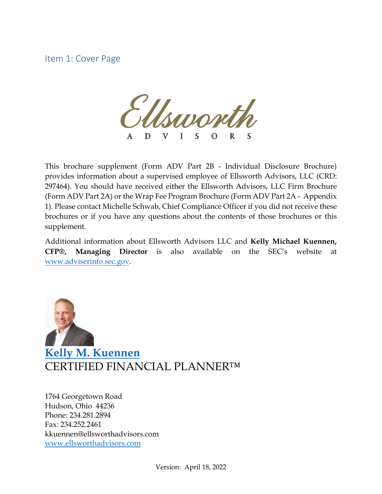Item 1: Cover Page

 $\frac{1}{\sqrt{1-\frac{1}{\sqrt{1-\frac{1}{\sqrt{1-\frac{1}{\sqrt{1-\frac{1}{\sqrt{1-\frac{1}{\sqrt{1-\frac{1}{\sqrt{1-\frac{1}{\sqrt{1-\frac{1}{\sqrt{1-\frac{1}{\sqrt{1-\frac{1}{\sqrt{1-\frac{1}{\sqrt{1-\frac{1}{\sqrt{1-\frac{1}{\sqrt{1-\frac{1}{\sqrt{1-\frac{1}{\sqrt{1-\frac{1}{\sqrt{1-\frac{1}{\sqrt{1-\frac{1}{\sqrt{1-\frac{1}{\sqrt{1-\frac{1}{\sqrt{1-\frac{1}{\sqrt{1-\frac{1}{\sqrt{1-\frac{1}{\sqrt{1-\frac{1$ D V L  $\mathbf S$  $\Omega$  $\mathsf{S}$ 

This brochure supplement (Form ADV Part 2B - Individual Disclosure Brochure) provides information about a supervised employee of Ellsworth Advisors, LLC (CRD: 297464). You should have received either the Ellsworth Advisors, LLC Firm Brochure (Form ADV Part 2A) or the Wrap Fee Program Brochure (Form ADV Part 2A - Appendix 1). Please contact Michelle Schwab, Chief Compliance Officer if you did not receive these brochures or if you have any questions about the contents of those brochures or this supplement.

Additional information about Ellsworth Advisors LLC and **Kelly Michael Kuennen, CFP®, Managing Director** is also available on the SEC's website at [www.adviserinfo.sec.gov.](http://www.adviserinfo.sec.gov/)



**[Kelly M. Kuennen](https://www.ellsworthadvisors.com/leadership/kelly-m-kuennen/)** CERTIFIED FINANCIAL PLANNER™

1764 Georgetown Road Hudson, Ohio 44236 Phone: 234.281.2894 Fax: 234.252.2461 kkuennen@ellsworthadvisors.com [www.ellsworthadvisors.com](http://www.ellsworthadvisors.com/)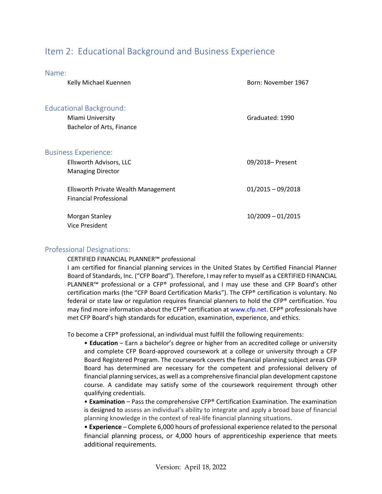# Item 2: Educational Background and Business Experience

| Name:                               |                     |
|-------------------------------------|---------------------|
| Kelly Michael Kuennen               | Born: November 1967 |
|                                     |                     |
| <b>Educational Background:</b>      |                     |
| Miami University                    | Graduated: 1990     |
| Bachelor of Arts, Finance           |                     |
|                                     |                     |
| <b>Business Experience:</b>         |                     |
| Ellsworth Advisors, LLC             | 09/2018- Present    |
| <b>Managing Director</b>            |                     |
| Ellsworth Private Wealth Management | $01/2015 - 09/2018$ |
| <b>Financial Professional</b>       |                     |
|                                     |                     |
| Morgan Stanley                      | $10/2009 - 01/2015$ |
| Vice President                      |                     |

#### Professional Designations:

CERTIFIED FINANCIAL PLANNER™ professional

I am certified for financial planning services in the United States by Certified Financial Planner Board of Standards, Inc. ("CFP Board"). Therefore, I may refer to myself as a CERTIFIED FINANCIAL PLANNER™ professional or a CFP® professional, and I may use these and CFP Board's other certification marks (the "CFP Board Certification Marks"). The CFP® certification is voluntary. No federal or state law or regulation requires financial planners to hold the CFP® certification. You may find more information about the CFP® certification at www.cfp.net. CFP® professionals have met CFP Board's high standards for education, examination, experience, and ethics.

To become a CFP® professional, an individual must fulfill the following requirements:

• **Education** – Earn a bachelor's degree or higher from an accredited college or university and complete CFP Board-approved coursework at a college or university through a CFP Board Registered Program. The coursework covers the financial planning subject areas CFP Board has determined are necessary for the competent and professional delivery of financial planning services, as well as a comprehensive financial plan development capstone course. A candidate may satisfy some of the coursework requirement through other qualifying credentials.

• **Examination** – Pass the comprehensive CFP® Certification Examination. The examination is designed to assess an individual's ability to integrate and apply a broad base of financial planning knowledge in the context of real-life financial planning situations.

• **Experience** – Complete 6,000 hours of professional experience related to the personal financial planning process, or 4,000 hours of apprenticeship experience that meets additional requirements.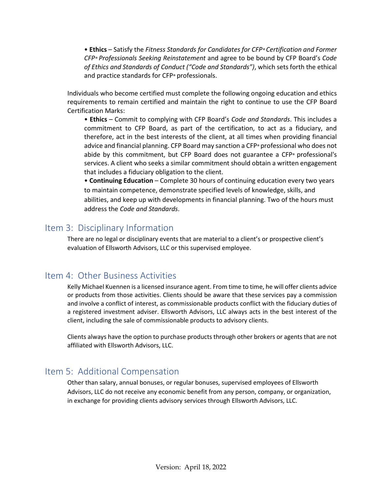• **Ethics** – Satisfy the *Fitness Standards for Candidates for CFP® Certification and Former CFP® Professionals Seeking Reinstatement* and agree to be bound by CFP Board's *Code of Ethics and Standards of Conduct ("Code and Standards")*, which sets forth the ethical and practice standards for CFP® professionals.

Individuals who become certified must complete the following ongoing education and ethics requirements to remain certified and maintain the right to continue to use the CFP Board Certification Marks:

• **Ethics** – Commit to complying with CFP Board's *Code and Standards*. This includes a commitment to CFP Board, as part of the certification, to act as a fiduciary, and therefore, act in the best interests of the client, at all times when providing financial advice and financial planning. CFP Board may sanction a CFP® professional who does not abide by this commitment, but CFP Board does not guarantee a CFP® professional's services. A client who seeks a similar commitment should obtain a written engagement that includes a fiduciary obligation to the client.

• **Continuing Education** – Complete 30 hours of continuing education every two years to maintain competence, demonstrate specified levels of knowledge, skills, and abilities, and keep up with developments in financial planning. Two of the hours must address the *Code and Standards*.

### Item 3: Disciplinary Information

There are no legal or disciplinary events that are material to a client's or prospective client's evaluation of Ellsworth Advisors, LLC or this supervised employee.

## Item 4: Other Business Activities

Kelly Michael Kuennen is a licensed insurance agent. From time to time, he will offer clients advice or products from those activities. Clients should be aware that these services pay a commission and involve a conflict of interest, as commissionable products conflict with the fiduciary duties of a registered investment adviser. Ellsworth Advisors, LLC always acts in the best interest of the client, including the sale of commissionable products to advisory clients.

Clients always have the option to purchase products through other brokers or agents that are not affiliated with Ellsworth Advisors, LLC.

## Item 5: Additional Compensation

Other than salary, annual bonuses, or regular bonuses, supervised employees of Ellsworth Advisors, LLC do not receive any economic benefit from any person, company, or organization, in exchange for providing clients advisory services through Ellsworth Advisors, LLC.